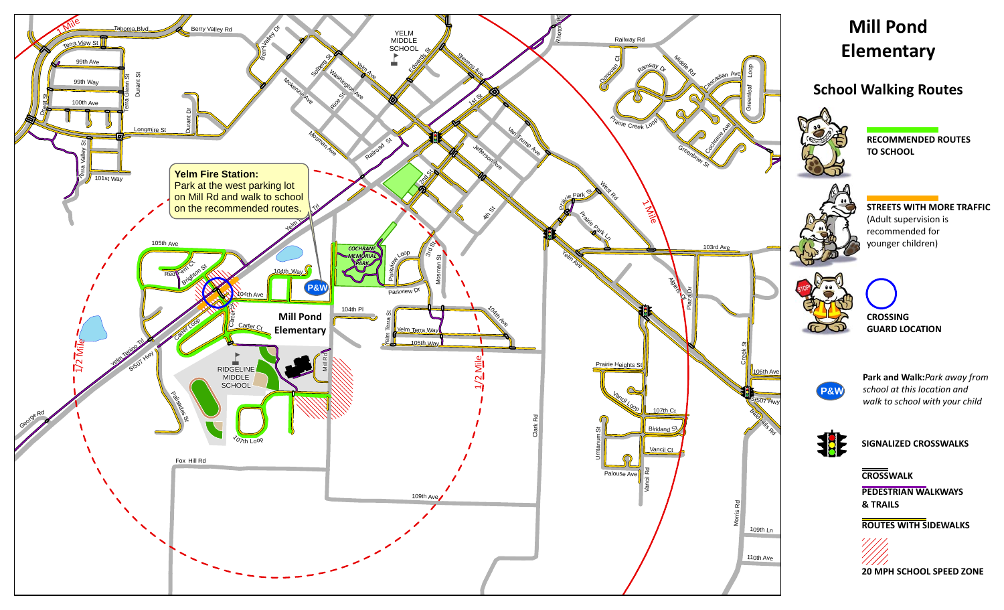